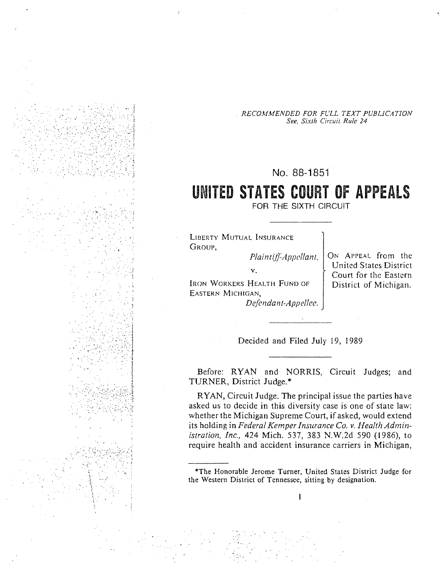RECOMMENDED FOR FULL TEXT PUBLICATION See, Sixth Circuit Rule 24

# No. 88-1851

# UNITED STATES COURT OF APPEALS

FOR THE SIXTH CIRCUIT

**LIBERTY MUTUAL INSURANCE** GROUP.

> Plaintiff-Appellant,  $\mathbf{v}_1$

IRON WORKERS HEALTH FUND OF EASTERN MICHIGAN. Defendant-Appellee. ON APPEAL from the United States District Court for the Eastern District of Michigan.

Decided and Filed July 19, 1989

Before: RYAN and NORRIS, Circuit Judges; and TURNER, District Judge.\*

RYAN, Circuit Judge. The principal issue the parties have asked us to decide in this diversity case is one of state law: whether the Michigan Supreme Court, if asked, would extend its holding in Federal Kemper Insurance Co. v. Health Administration, Inc., 424 Mich. 537, 383 N.W.2d 590 (1986), to require health and accident insurance carriers in Michigan,

<sup>\*</sup>The Honorable Jerome Turner, United States District Judge for the Western District of Tennessee, sitting by designation.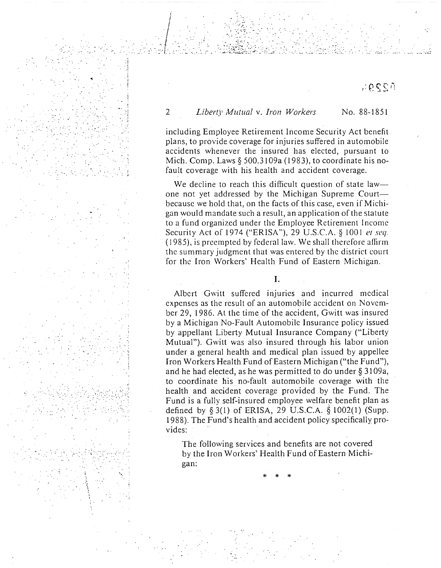70SSA

#### $\overline{2}$ Liberty Mutual v. Iron Workers No. 88-1851

including Employee Retirement Income Security Act benefit plans, to provide coverage for injuries suffered in automobile accidents whenever the insured has elected, pursuant to Mich. Comp. Laws  $\S$  500.3109a (1983), to coordinate his nofault coverage with his health and accident coverage.

We decline to reach this difficult question of state law one not yet addressed by the Michigan Supreme Court because we hold that, on the facts of this case, even if Michigan would mandate such a result, an application of the statute to a fund organized under the Employee Retirement Income Security Act of 1974 ("ERISA"), 29 U.S.C.A. § 1001 et seq. (1985), is preempted by federal law. We shall therefore affirm the summary judgment that was entered by the district court for the Iron Workers' Health Fund of Eastern Michigan.

 $\mathbf{I}$ .

Albert Gwitt suffered injuries and incurred medical expenses as the result of an automobile accident on November 29, 1986. At the time of the accident, Gwitt was insured by a Michigan No-Fault Automobile Insurance policy issued by appellant Liberty Mutual Insurance Company ("Liberty Mutual"). Gwitt was also insured through his labor union under a general health and medical plan issued by appellee Iron Workers Health Fund of Eastern Michigan ("the Fund"), and he had elected, as he was permitted to do under § 3109a, to coordinate his no-fault automobile coverage with the health and accident coverage provided by the Fund. The Fund is a fully self-insured employee welfare benefit plan as defined by  $\S 3(1)$  of ERISA, 29 U.S.C.A.  $\S 1002(1)$  (Supp. 1988). The Fund's health and accident policy specifically provides:

The following services and benefits are not covered by the Iron Workers' Health Fund of Eastern Michigan: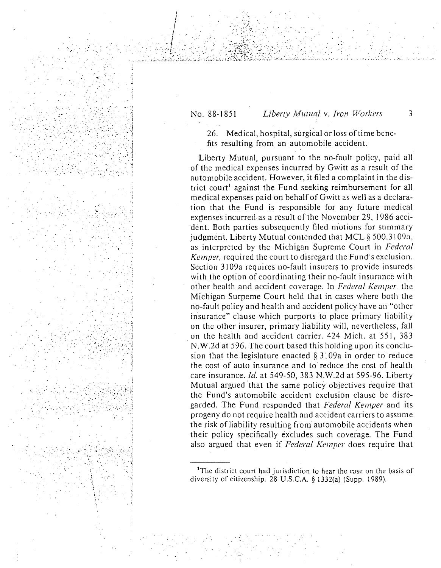## No. 88-1851

### Liberty Mutual v. Iron Workers

3

26. Medical, hospital, surgical or loss of time benefits resulting from an automobile accident.

Liberty Mutual, pursuant to the no-fault policy, paid all of the medical expenses incurred by Gwitt as a result of the automobile accident. However, it filed a complaint in the district court<sup>1</sup> against the Fund seeking reimbursement for all medical expenses paid on behalf of Gwitt as well as a declaration that the Fund is responsible for any future medical expenses incurred as a result of the November 29, 1986 accident. Both parties subsequently filed motions for summary judgment. Liberty Mutual contended that MCL § 500.3109a, as interpreted by the Michigan Supreme Court in Federal Kemper, required the court to disregard the Fund's exclusion. Section 3109a requires no-fault insurers to provide insureds with the option of coordinating their no-fault insurance with other health and accident coverage. In Federal Kemper, the Michigan Surpeme Court held that in cases where both the no-fault policy and health and accident policy have an "other insurance" clause which purports to place primary liability on the other insurer, primary liability will, nevertheless, fall on the health and accident carrier. 424 Mich. at 551, 383 N.W.2d at 596. The court based this holding upon its conclusion that the legislature enacted  $\S$  3109a in order to reduce the cost of auto insurance and to reduce the cost of health care insurance. Id. at 549-50, 383 N.W.2d at 595-96. Liberty Mutual argued that the same policy objectives require that the Fund's automobile accident exclusion clause be disregarded. The Fund responded that Federal Kemper and its progeny do not require health and accident carriers to assume the risk of liability resulting from automobile accidents when their policy specifically excludes such coverage. The Fund also argued that even if Federal Kemper does require that

<sup>&</sup>lt;sup>1</sup>The district court had jurisdiction to hear the case on the basis of diversity of citizenship. 28 U.S.C.A. § 1332(a) (Supp. 1989).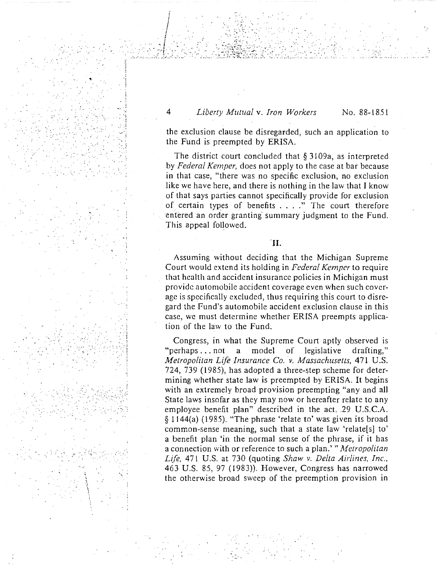## 4 *Liberty Mutual* v. *Iron Workers* No. 88-1851

 $\sim$  $\mathcal{F}_\mathbf{r} = \mathcal{F}_\mathbf{r} = \mathcal{F}_\mathbf{r}$ 

the exclusion clause be disregarded, such an application to the Fund is preempted by ERISA.

The district court concluded that § 3109a, as interpreted by *Federal Kemper,* does not apply to the case at bar because in that case, "there was no specific exclusion, no exclusion like we have here, and there is nothing in the law that I know of that says parties cannot specifically provide for exclusion of certain types of benefits .... " The court therefore entered an order granting summary judgment to the Fund. This appeal followed.

Assuming without deciding that the Michigan Supreme Court would extend its holding in *Federal Kemper* to require that health and accident insurance policies in Michigan must provide automobile accident coverage even when such coverage is specifically excluded, thus requiring this court to disregard the Fund's automobile accident exclusion clause in this case, we must determine whether ERISA preempts application of the law to the Fund.

' ... <sup>~</sup>

~· .

*·.:* ·.

 $\mathcal{H}^{\text{in}}_{\text{in}}$  :  $\mathcal{H}^{\text{in}}_{\text{out}}$ 

 $\mathcal{L}_{\mathcal{P}}(\mathcal{R}^{\mathcal{P}}_{\mathcal{P}})$  .

... ·.

.: " . •,, !

 $\cdot$  .  $\cdot$ 

":

... · .

 $\sim$   $\sim$   $\sim$  $\sim$ *··:·.··:* 

 $\mathcal{C} \rightarrow \mathcal{C} \rightarrow \mathcal{C}$ 

. ···.

Congress, in What the Supreme Court aptly observed is "perhaps ... not a model of legislative drafting," *Metropolitan Life Insurance Co. v. Massachusetts,* 471 U.S. 724, 739 (l 985), has adopted a three-step scheme for determining whether state law is preempted by ERISA. It begins with an extremely broad provision preempting "any and all State laws insofar as they may now or hereafter relate to any employee benefit plan" described in the act. .29 U.S.C.A. § 1144(a) (1985). "The phrase 'relate to' was given its broad common-sense meaning, such that a state law 'relate[s] to' a benefit plan 'in the normal sense of the phrase, if it has a connection \vith or reference to such a plan.'" *A1etropolitan Life,* 471 U.S. at 730 (quoting *Shaw v. Delta Airlines, Inc.,*  463 U.S. 85, 97 (1983)). However, Congress has narrowed the otherwise broad sweep of the preemption provision in

 $\mathcal{L}_{\mathcal{L}}$ 

<sup>&#</sup>x27;II.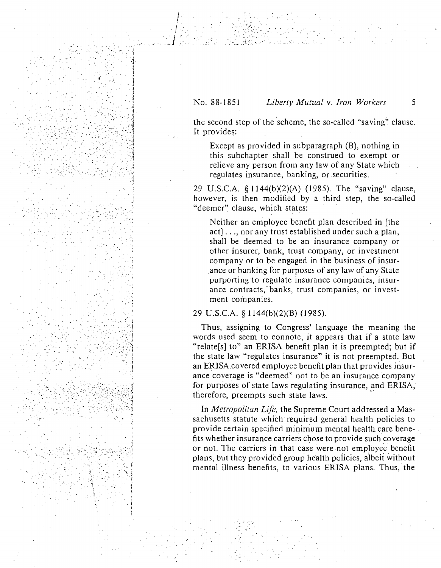#### No. 88-1851 Liberty Mutual v. Iron Workers

the second step of the scheme, the so-called "saving" clause. It provides:

Except as provided in subparagraph (B), nothing in this subchapter shall be construed to exempt or relieve any person from any law of any State which regulates insurance, banking, or securities.

29 U.S.C.A. § 1144(b)(2)(A) (1985). The "saving" clause, however, is then modified by a third step, the so-called "deemer" clause, which states:

Neither an employee benefit plan described in [the act]..., nor any trust established under such a plan, shall be deemed to be an insurance company or other insurer, bank, trust company, or investment company or to be engaged in the business of insurance or banking for purposes of any law of any State purporting to regulate insurance companies, insurance contracts, banks, trust companies, or investment companies.

#### 29 U.S.C.A. § 1144(b)(2)(B) (1985).

Thus, assigning to Congress' language the meaning the words used seem to connote, it appears that if a state law "relate[s] to" an ERISA benefit plan it is preempted; but if the state law "regulates insurance" it is not preempted. But an ERISA covered employee benefit plan that provides insurance coverage is "deemed" not to be an insurance company for purposes of state laws regulating insurance, and ERISA, therefore, preempts such state laws.

In Metropolitan Life, the Supreme Court addressed a Massachusetts statute which required general health policies to provide certain specified minimum mental health care benefits whether insurance carriers chose to provide such coverage or not. The carriers in that case were not employee benefit plans, but they provided group health policies, albeit without mental illness benefits, to various ERISA plans. Thus, the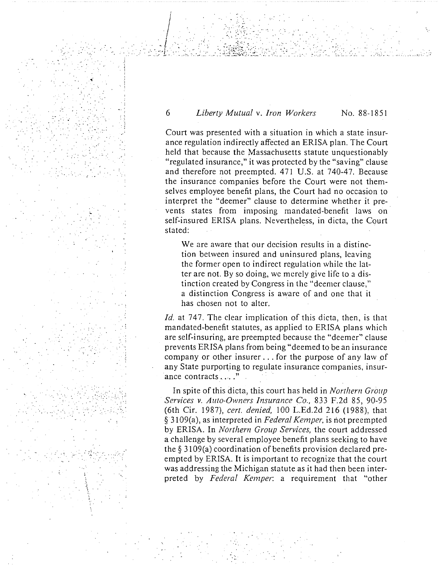#### 6 *Liberty Mutual* v. *Iron Workers* No. 88-1851

. ..

..  $\mathbb{R}^3$  $\mathbb{R}^n \times \mathbb{R}^n \times \mathbb{R}^n$ •·. ~ :. . . . .. . . ·:

.  $\mathcal{P}^{\mathcal{P}}_{\mathcal{P}}$  .  $\mathcal{P}^{\mathcal{P}}_{\mathcal{P}}$ 

 $\mathcal{L}^{\text{max}}$ 

·(

.. *:* -....

 $\ddotsc$ . ' '

 $\cdot$   $\cdot$   $\cdot$   $\cdot$ 

:., *,:·* 

.......

Court was presented with a situation in which a state insurance regulation indirectly affected an ERISA plan. The Court held that because the Massachusetts statute unquestionably "regulated insurance," it was protected by the "saving" clause and therefore not preempted. 471 U.S. at 740-47. Because the insurance companies before the Court were not themselves employee benefit plans, the Court had no occasion to interpret the "deemer" clause to determine whether it prevents states from imposing mandated-benefit laws on self-insured ERISA plans. Nevertheless, in dicta, the Court stated:

We are aware that our decision results in a distinction between insured and uninsured plans, leaving the former open to indirect regulation while the latter are not. By so doing, we merely give life to a distinction created by Congress in the "dcemcr clause," a distinction Congress is aware of and one that it has chosen not to alter.

*Id.* at 747. The clear implication of this dicta, then, is that mandated-benefit statutes, as applied to ERISA plans which are self-insuring, are preempted because the "deemer" clause prevents ERISA plans from being "deemed to be an insurance company or other insurer ... for the purpose of any law of any State purporting to regulate insurance companies, insurance contracts ....."

In spite of this dicta, this court has held in *Northern Group Services v. Auto-Owners Insurance Co.,* 833 F.2d 85, 90-95 (6th Cir. 1987), *cert. denied,* 100 L.Ed.2d 216 (1988), that § 3109(a), as interpreted in *Federal Kemper,* is riot preempted by ERISA. In *Northern Group Services,* the court addressed a challenge by several employee benefit plans seeking to have the§ 3109(a) coordination of benefits provision declared preempted by ERISA. It is important to recognize that the court was addressing the Michigan statute as it had then been interpreted by *Federal Kemper:* a requirement that "other

 $\mathcal{L}^{\bullet}$  .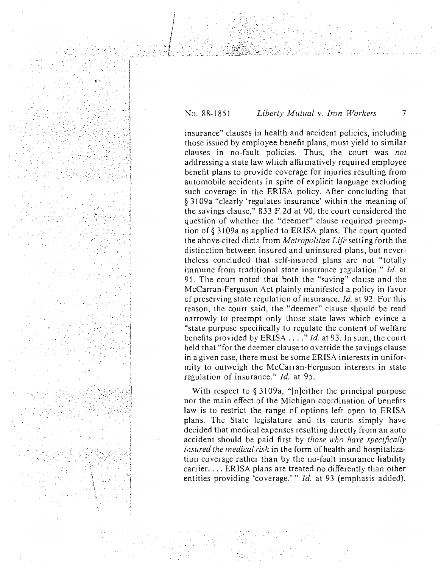#### No. 88-1851 Liberty Mutual v. Iron Workers  $\overline{7}$

insurance" clauses in health and accident policies, including those issued by employee benefit plans, must yield to similar clauses in no-fault policies. Thus, the court was not addressing a state law which affirmatively required employee benefit plans to provide coverage for injuries resulting from automobile accidents in spite of explicit language excluding such coverage in the ERISA policy. After concluding that § 3109a "clearly 'regulates insurance' within the meaning of the savings clause," 833 F.2d at 90, the court considered the question of whether the "deemer" clause required preemption of § 3109a as applied to ERISA plans. The court quoted the above-cited dicta from *Metropolitan Life* setting forth the distinction between insured and uninsured plans, but nevertheless concluded that self-insured plans are not "totally immune from traditional state insurance regulation," Id. at 91. The court noted that both the "saving" clause and the McCarran-Ferguson Act plainly manifested a policy in favor of preserving state regulation of insurance, *Id.* at 92. For this reason, the court said, the "deemer" clause should be read narrowly to preempt only those state laws which evince a "state purpose specifically to regulate the content of welfare benefits provided by ERISA ...." Id. at 93. In sum, the court held that "for the deemer clause to override the savings clause in a given case, there must be some ERISA interests in uniformity to outweigh the McCarran-Ferguson interests in state regulation of insurance." Id. at 95.

With respect to  $\S 3109a$ , "[n]either the principal purpose nor the main effect of the Michigan coordination of benefits law is to restrict the range of options left open to ERISA plans. The State legislature and its courts simply have decided that medical expenses resulting directly from an auto accident should be paid first by those who have specifically *insured the medical risk* in the form of health and hospitalization coverage rather than by the no-fault insurance liability carrier.... ERISA plans are treated no differently than other entities providing 'coverage.'" Id. at 93 (emphasis added).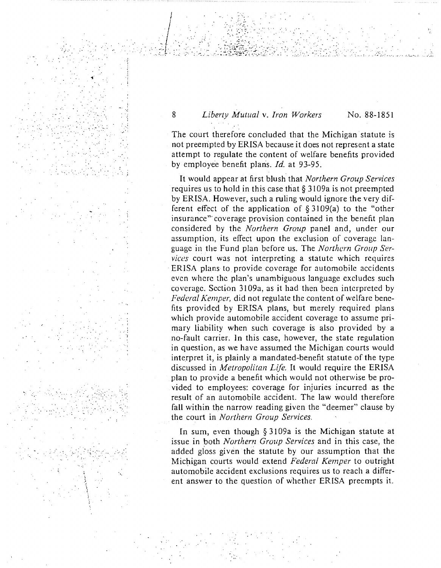·.·'

 $\mathbb{R}^3$  .

... 'i

 $\mathcal{L} \times \mathcal{L} \times \mathcal{L} \times \mathcal{L} \times \mathcal{L} \times \mathcal{L} \times \mathcal{L} \times \mathcal{L} \times \mathcal{L} \times \mathcal{L} \times \mathcal{L} \times \mathcal{L} \times \mathcal{L} \times \mathcal{L} \times \mathcal{L} \times \mathcal{L} \times \mathcal{L} \times \mathcal{L} \times \mathcal{L} \times \mathcal{L} \times \mathcal{L} \times \mathcal{L} \times \mathcal{L} \times \mathcal{L} \times \mathcal{L} \times \mathcal{L} \times \mathcal{L} \times \mathcal{$ 

··.;

:.· . . ~. ·. *:* .. *: .* .

# 8 *Liberty Mutual v. Iron Workers* No. 88-1851

. . . . . . .• .. ::~: ... ~.; ..... -~ ...

The court therefore concluded that the Michigan statute is not preempted by ERISA because it does not represent a state attempt to regulate the content of welfare benefits provided by employee benefit plans. *Id.* at 93-95 .

It would appear at first blush that *Northern Group Services*  requires us to hold in this case that § 3109a is not preempted by ERISA. However, such a ruling would ignore the very different effect of the application of  $\S 3109(a)$  to the "other insurance"' coverage provision contained in the benefit plan considered by the *Northern Group* panel and, under our assumption, its effect upon the exclusion of coverage language in the Fund plan before us. The *Northern Group Services* court was not interpreting a statute which requires ERISA plans to provide coverage for automobile accidents even where the plan's unambiguous language excludes such coverage. Section 3109a, as it had then been interpreted by *Federal Kemper,* did not regulate the content of welfare benefits provided by ERISA plans, but merely required plans which provide automobile accident coverage to assume primary liability when such coverage is also provided by a no-fault carrier. In this case, however, the state regulation in question, as we have assumed the Michigan courts would interpret it, is plainly a mandated-benefit statute of the type discussed in *Metropolitan Life.* It would require the ERISA plan to provide a benefit which would not otherwise be provided to employees: coverage for injuries incurred as the result of an automobile accident. The law would therefore fall within the narrow reading given the "deemer" clause by the court in *Northern Group Services.* 

In sum, even though § 3109a is the Michigan statute at issue in both *Northern Group Services* and in this case; the added gloss given the statute by our assumption that the Michigan courts would extend *Federal Kemper* to outright automobile accident exclusions requires us to reach a different answer to the question of whether ERISA preempts it.